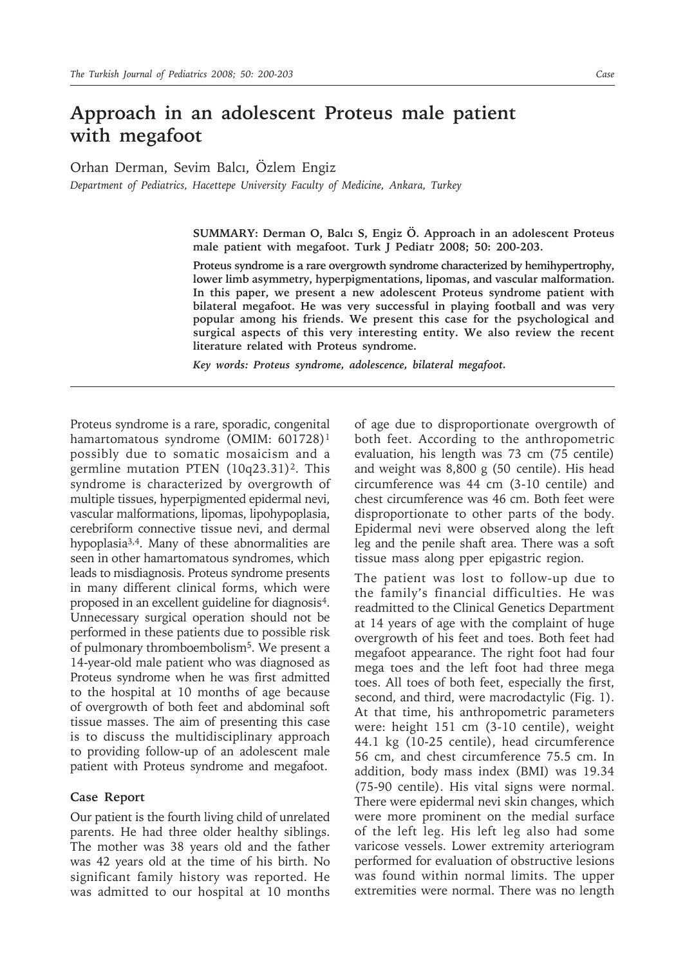## **Approach in an adolescent Proteus male patient with megafoot**

Orhan Derman, Sevim Balcı, Özlem Engiz

*Department of Pediatrics, Hacettepe University Faculty of Medicine, Ankara, Turkey*

**SUMMARY: Derman O, Balcı S, Engiz Ö. Approach in an adolescent Proteus male patient with megafoot. Turk J Pediatr 2008; 50: 200-203.**

**Proteus syndrome is a rare overgrowth syndrome characterized by hemihypertrophy, lower limb asymmetry, hyperpigmentations, lipomas, and vascular malformation. In this paper, we present a new adolescent Proteus syndrome patient with bilateral megafoot. He was very successful in playing football and was very popular among his friends. We present this case for the psychological and surgical aspects of this very interesting entity. We also review the recent literature related with Proteus syndrome.**

*Key words: Proteus syndrome, adolescence, bilateral megafoot.*

Proteus syndrome is a rare, sporadic, congenital hamartomatous syndrome (OMIM: 601728)<sup>1</sup> possibly due to somatic mosaicism and a germline mutation PTEN  $(10q23.31)^2$ . This syndrome is characterized by overgrowth of multiple tissues, hyperpigmented epidermal nevi, vascular malformations, lipomas, lipohypoplasia, cerebriform connective tissue nevi, and dermal hypoplasia<sup>3,4</sup>. Many of these abnormalities are seen in other hamartomatous syndromes, which leads to misdiagnosis. Proteus syndrome presents in many different clinical forms, which were proposed in an excellent guideline for diagnosis<sup>4</sup>. Unnecessary surgical operation should not be performed in these patients due to possible risk of pulmonary thromboembolism5. We present a 14-year-old male patient who was diagnosed as Proteus syndrome when he was first admitted to the hospital at 10 months of age because of overgrowth of both feet and abdominal soft tissue masses. The aim of presenting this case is to discuss the multidisciplinary approach to providing follow-up of an adolescent male patient with Proteus syndrome and megafoot.

## **Case Report**

Our patient is the fourth living child of unrelated parents. He had three older healthy siblings. The mother was 38 years old and the father was 42 years old at the time of his birth. No significant family history was reported. He was admitted to our hospital at 10 months of age due to disproportionate overgrowth of both feet. According to the anthropometric evaluation, his length was 73 cm (75 centile) and weight was 8,800 g (50 centile). His head circumference was 44 cm (3-10 centile) and chest circumference was 46 cm. Both feet were disproportionate to other parts of the body. Epidermal nevi were observed along the left leg and the penile shaft area. There was a soft tissue mass along pper epigastric region.

The patient was lost to follow-up due to the family's financial difficulties. He was readmitted to the Clinical Genetics Department at 14 years of age with the complaint of huge overgrowth of his feet and toes. Both feet had megafoot appearance. The right foot had four mega toes and the left foot had three mega toes. All toes of both feet, especially the first, second, and third, were macrodactylic (Fig. 1). At that time, his anthropometric parameters were: height 151 cm (3-10 centile), weight 44.1 kg (10-25 centile), head circumference 56 cm, and chest circumference 75.5 cm. In addition, body mass index (BMI) was 19.34 (75-90 centile). His vital signs were normal. There were epidermal nevi skin changes, which were more prominent on the medial surface of the left leg. His left leg also had some varicose vessels. Lower extremity arteriogram performed for evaluation of obstructive lesions was found within normal limits. The upper extremities were normal. There was no length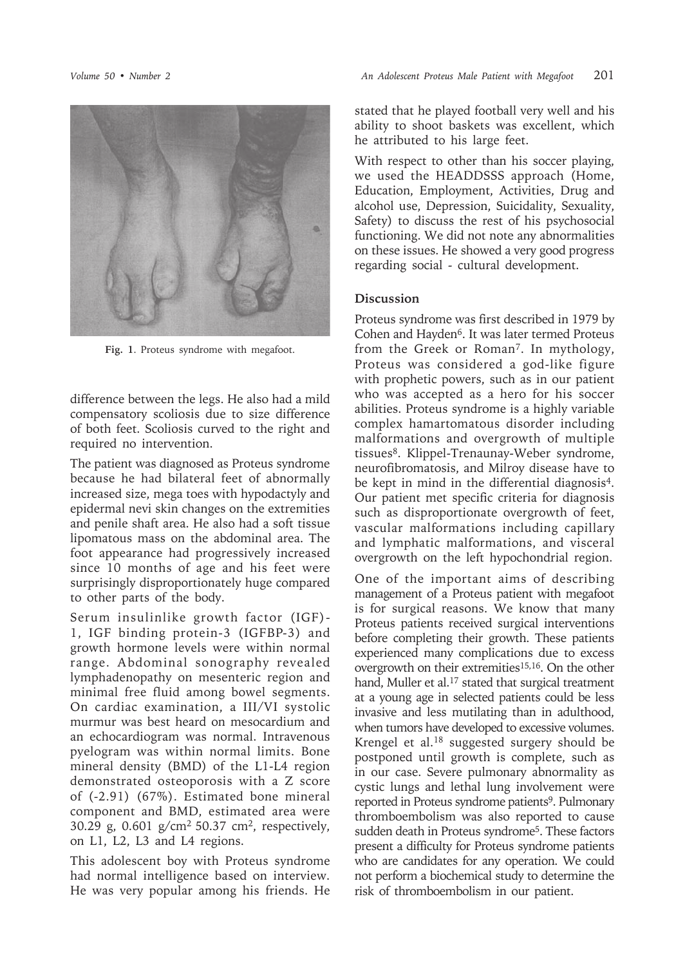

**Fig. 1**. Proteus syndrome with megafoot.

difference between the legs. He also had a mild compensatory scoliosis due to size difference of both feet. Scoliosis curved to the right and required no intervention.

The patient was diagnosed as Proteus syndrome because he had bilateral feet of abnormally increased size, mega toes with hypodactyly and epidermal nevi skin changes on the extremities and penile shaft area. He also had a soft tissue lipomatous mass on the abdominal area. The foot appearance had progressively increased since 10 months of age and his feet were surprisingly disproportionately huge compared to other parts of the body.

Serum insulinlike growth factor (IGF)- 1, IGF binding protein-3 (IGFBP-3) and growth hormone levels were within normal range. Abdominal sonography revealed lymphadenopathy on mesenteric region and minimal free fluid among bowel segments. On cardiac examination, a III/VI systolic murmur was best heard on mesocardium and an echocardiogram was normal. Intravenous pyelogram was within normal limits. Bone mineral density (BMD) of the L1-L4 region demonstrated osteoporosis with a Z score of (-2.91) (67%). Estimated bone mineral component and BMD, estimated area were 30.29 g, 0.601 g/cm<sup>2</sup> 50.37 cm<sup>2</sup>, respectively, on L1, L2, L3 and L4 regions.

This adolescent boy with Proteus syndrome had normal intelligence based on interview. He was very popular among his friends. He

stated that he played football very well and his ability to shoot baskets was excellent, which he attributed to his large feet.

With respect to other than his soccer playing, we used the HEADDSSS approach (Home, Education, Employment, Activities, Drug and alcohol use, Depression, Suicidality, Sexuality, Safety) to discuss the rest of his psychosocial functioning. We did not note any abnormalities on these issues. He showed a very good progress regarding social - cultural development.

## **Discussion**

Proteus syndrome was first described in 1979 by Cohen and Hayden<sup>6</sup>. It was later termed Proteus from the Greek or Roman<sup>7</sup>. In mythology, Proteus was considered a god-like figure with prophetic powers, such as in our patient who was accepted as a hero for his soccer abilities. Proteus syndrome is a highly variable complex hamartomatous disorder including malformations and overgrowth of multiple tissues<sup>8</sup>. Klippel-Trenaunay-Weber syndrome, neurofibromatosis, and Milroy disease have to be kept in mind in the differential diagnosis<sup>4</sup>. Our patient met specific criteria for diagnosis such as disproportionate overgrowth of feet, vascular malformations including capillary and lymphatic malformations, and visceral overgrowth on the left hypochondrial region.

One of the important aims of describing management of a Proteus patient with megafoot is for surgical reasons. We know that many Proteus patients received surgical interventions before completing their growth. These patients experienced many complications due to excess overgrowth on their extremities<sup>15,16</sup>. On the other hand, Muller et al.<sup>17</sup> stated that surgical treatment at a young age in selected patients could be less invasive and less mutilating than in adulthood, when tumors have developed to excessive volumes. Krengel et al.18 suggested surgery should be postponed until growth is complete, such as in our case. Severe pulmonary abnormality as cystic lungs and lethal lung involvement were reported in Proteus syndrome patients<sup>9</sup>. Pulmonary thromboembolism was also reported to cause sudden death in Proteus syndrome<sup>5</sup>. These factors present a difficulty for Proteus syndrome patients who are candidates for any operation. We could not perform a biochemical study to determine the risk of thromboembolism in our patient.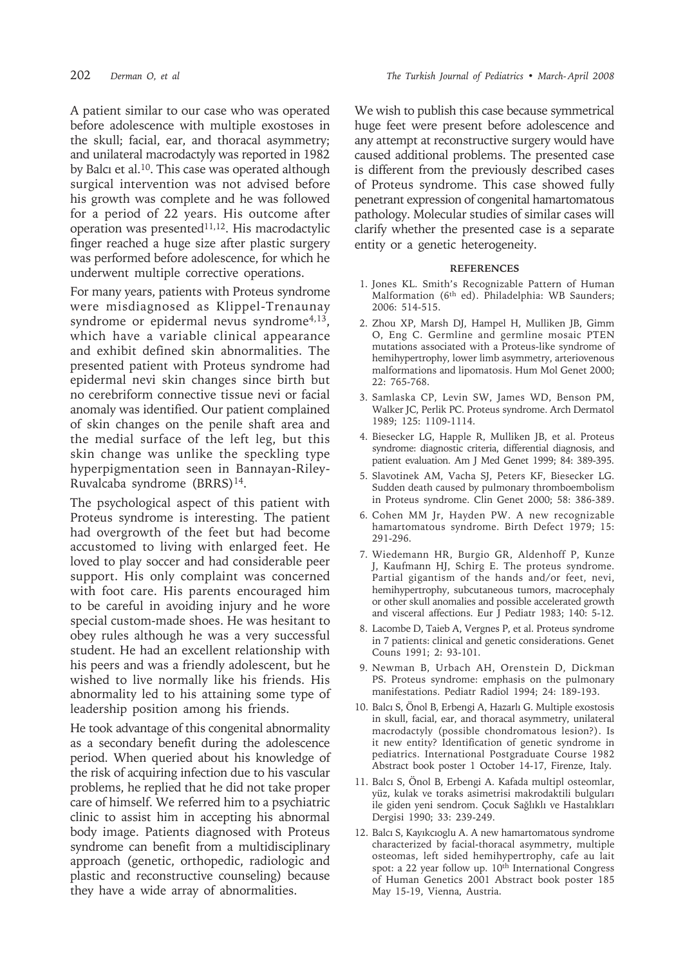A patient similar to our case who was operated before adolescence with multiple exostoses in the skull; facial, ear, and thoracal asymmetry; and unilateral macrodactyly was reported in 1982 by Balcı et al.10. This case was operated although surgical intervention was not advised before his growth was complete and he was followed for a period of 22 years. His outcome after operation was presented $11,12$ . His macrodactylic finger reached a huge size after plastic surgery was performed before adolescence, for which he underwent multiple corrective operations.

For many years, patients with Proteus syndrome were misdiagnosed as Klippel-Trenaunay syndrome or epidermal nevus syndrome<sup>4,13</sup>, which have a variable clinical appearance and exhibit defined skin abnormalities. The presented patient with Proteus syndrome had epidermal nevi skin changes since birth but no cerebriform connective tissue nevi or facial anomaly was identified. Our patient complained of skin changes on the penile shaft area and the medial surface of the left leg, but this skin change was unlike the speckling type hyperpigmentation seen in Bannayan-Riley-Ruvalcaba syndrome (BRRS)<sup>14</sup>.

The psychological aspect of this patient with Proteus syndrome is interesting. The patient had overgrowth of the feet but had become accustomed to living with enlarged feet. He loved to play soccer and had considerable peer support. His only complaint was concerned with foot care. His parents encouraged him to be careful in avoiding injury and he wore special custom-made shoes. He was hesitant to obey rules although he was a very successful student. He had an excellent relationship with his peers and was a friendly adolescent, but he wished to live normally like his friends. His abnormality led to his attaining some type of leadership position among his friends.

He took advantage of this congenital abnormality as a secondary benefit during the adolescence period. When queried about his knowledge of the risk of acquiring infection due to his vascular problems, he replied that he did not take proper care of himself. We referred him to a psychiatric clinic to assist him in accepting his abnormal body image. Patients diagnosed with Proteus syndrome can benefit from a multidisciplinary approach (genetic, orthopedic, radiologic and plastic and reconstructive counseling) because they have a wide array of abnormalities.

We wish to publish this case because symmetrical huge feet were present before adolescence and any attempt at reconstructive surgery would have caused additional problems. The presented case is different from the previously described cases of Proteus syndrome. This case showed fully penetrant expression of congenital hamartomatous pathology. Molecular studies of similar cases will clarify whether the presented case is a separate entity or a genetic heterogeneity.

## **REFERENCES**

- 1. Jones KL. Smith's Recognizable Pattern of Human Malformation (6<sup>th</sup> ed). Philadelphia: WB Saunders; 2006: 514-515.
- 2. Zhou XP, Marsh DJ, Hampel H, Mulliken JB, Gimm O, Eng C. Germline and germline mosaic PTEN mutations associated with a Proteus-like syndrome of hemihypertrophy, lower limb asymmetry, arteriovenous malformations and lipomatosis. Hum Mol Genet 2000; 22: 765-768.
- 3. Samlaska CP, Levin SW, James WD, Benson PM, Walker JC, Perlik PC. Proteus syndrome. Arch Dermatol 1989; 125: 1109-1114.
- 4. Biesecker LG, Happle R, Mulliken JB, et al. Proteus syndrome: diagnostic criteria, differential diagnosis, and patient evaluation. Am J Med Genet 1999; 84: 389-395.
- 5. Slavotinek AM, Vacha SJ, Peters KF, Biesecker LG. Sudden death caused by pulmonary thromboembolism in Proteus syndrome. Clin Genet 2000; 58: 386-389.
- 6. Cohen MM Jr, Hayden PW. A new recognizable hamartomatous syndrome. Birth Defect 1979; 15: 291-296.
- 7. Wiedemann HR, Burgio GR, Aldenhoff P, Kunze J, Kaufmann HJ, Schirg E. The proteus syndrome. Partial gigantism of the hands and/or feet, nevi, hemihypertrophy, subcutaneous tumors, macrocephaly or other skull anomalies and possible accelerated growth and visceral affections. Eur J Pediatr 1983; 140: 5-12.
- 8. Lacombe D, Taieb A, Vergnes P, et al. Proteus syndrome in 7 patients: clinical and genetic considerations. Genet Couns 1991; 2: 93-101.
- 9. Newman B, Urbach AH, Orenstein D, Dickman PS. Proteus syndrome: emphasis on the pulmonary manifestations. Pediatr Radiol 1994; 24: 189-193.
- 10. Balcı S, Önol B, Erbengi A, Hazarlı G. Multiple exostosis in skull, facial, ear, and thoracal asymmetry, unilateral macrodactyly (possible chondromatous lesion?). Is it new entity? Identification of genetic syndrome in pediatrics. International Postgraduate Course 1982 Abstract book poster 1 October 14-17, Firenze, Italy.
- 11. Balcı S, Önol B, Erbengi A. Kafada multipl osteomlar, yüz, kulak ve toraks asimetrisi makrodaktili bulguları ile giden yeni sendrom. Çocuk Sağlıklı ve Hastalıkları Dergisi 1990; 33: 239-249.
- 12. Balcı S, Kayıkcıoglu A. A new hamartomatous syndrome characterized by facial-thoracal asymmetry, multiple osteomas, left sided hemihypertrophy, cafe au lait spot: a 22 year follow up. 10<sup>th</sup> International Congress of Human Genetics 2001 Abstract book poster 185 May 15-19, Vienna, Austria.